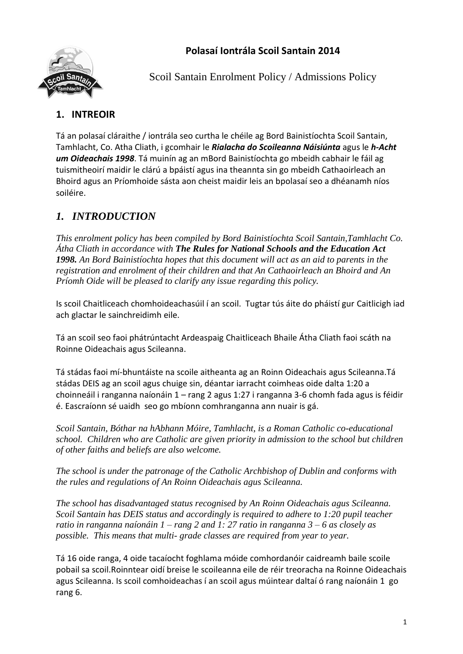#### **Polasaí Iontrála Scoil Santain 2014**



Scoil Santain Enrolment Policy / Admissions Policy

## **1. INTREOIR**

Tá an polasaí cláraithe / iontrála seo curtha le chéile ag Bord Bainistíochta Scoil Santain, Tamhlacht, Co. Atha Cliath, i gcomhair le *Rialacha do Scoileanna Náisiúnta* agus le *h-Acht um Oideachais 1998*. Tá muinín ag an mBord Bainistíochta go mbeidh cabhair le fáil ag tuismitheoirí maidir le clárú a bpáistí agus ina theannta sin go mbeidh Cathaoirleach an Bhoird agus an Príomhoide sásta aon cheist maidir leis an bpolasaí seo a dhéanamh níos soiléire.

# *1. INTRODUCTION*

*This enrolment policy has been compiled by Bord Bainistíochta Scoil Santain,Tamhlacht Co. Átha Cliath in accordance with The Rules for National Schools and the Education Act 1998. An Bord Bainistíochta hopes that this document will act as an aid to parents in the registration and enrolment of their children and that An Cathaoirleach an Bhoird and An Príomh Oide will be pleased to clarify any issue regarding this policy.*

Is scoil Chaitliceach chomhoideachasúil í an scoil. Tugtar tús áite do pháistí gur Caitlicigh iad ach glactar le sainchreidimh eile.

Tá an scoil seo faoi phátrúntacht Ardeaspaig Chaitliceach Bhaile Átha Cliath faoi scáth na Roinne Oideachais agus Scileanna.

Tá stádas faoi mí-bhuntáiste na scoile aitheanta ag an Roinn Oideachais agus Scileanna.Tá stádas DEIS ag an scoil agus chuige sin, déantar iarracht coimheas oide dalta 1:20 a choinneáil i ranganna naíonáin 1 – rang 2 agus 1:27 i ranganna 3-6 chomh fada agus is féidir é. Eascraíonn sé uaidh seo go mbíonn comhranganna ann nuair is gá.

*Scoil Santain, Bóthar na hAbhann Móire, Tamhlacht, is a Roman Catholic co-educational school. Children who are Catholic are given priority in admission to the school but children of other faiths and beliefs are also welcome.*

*The school is under the patronage of the Catholic Archbishop of Dublin and conforms with the rules and regulations of An Roinn Oideachais agus Scileanna.*

*The school has disadvantaged status recognised by An Roinn Oideachais agus Scileanna. Scoil Santain has DEIS status and accordingly is required to adhere to 1:20 pupil teacher ratio in ranganna naíonáin 1 – rang 2 and 1: 27 ratio in ranganna 3 – 6 as closely as possible. This means that multi- grade classes are required from year to year.* 

Tá 16 oide ranga, 4 oide tacaíocht foghlama móide comhordanóir caidreamh baile scoile pobail sa scoil.Roinntear oidí breise le scoileanna eile de réir treoracha na Roinne Oideachais agus Scileanna. Is scoil comhoideachas í an scoil agus múintear daltaí ó rang naíonáin 1 go rang 6.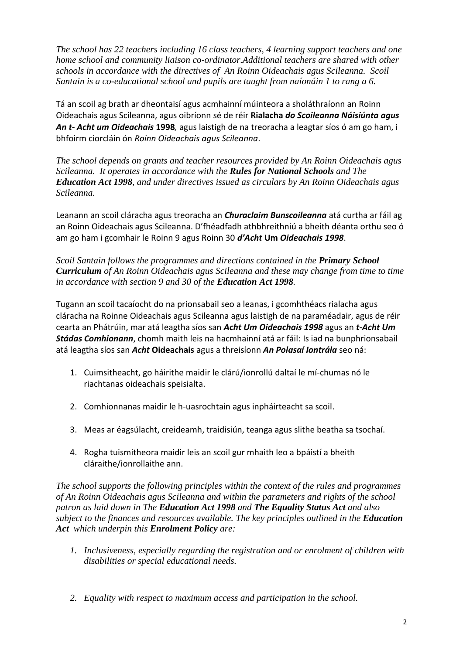*The school has 22 teachers including 16 class teachers, 4 learning support teachers and one home school and community liaison co-ordinator.Additional teachers are shared with other schools in accordance with the directives of An Roinn Oideachais agus Scileanna. Scoil Santain is a co-educational school and pupils are taught from naíonáin 1 to rang a 6.*

Tá an scoil ag brath ar dheontaisí agus acmhainní múinteora a sholáthraíonn an Roinn Oideachais agus Scileanna, agus oibríonn sé de réir **Rialacha** *do Scoileanna Náisiúnta agus An t- Acht um Oideachais* **1998***,* agus laistigh de na treoracha a leagtar síos ó am go ham, i bhfoirm ciorcláin ón *Roinn Oideachais agus Scileanna*.

*The school depends on grants and teacher resources provided by An Roinn Oideachais agus Scileanna. It operates in accordance with the Rules for National Schools and The Education Act 1998, and under directives issued as circulars by An Roinn Oideachais agus Scileanna.*

Leanann an scoil cláracha agus treoracha an *Churaclaim Bunscoileanna* atá curtha ar fáil ag an Roinn Oideachais agus Scileanna. D'fhéadfadh athbhreithniú a bheith déanta orthu seo ó am go ham i gcomhair le Roinn 9 agus Roinn 30 *d'Acht* **Um** *Oideachais 1998*.

*Scoil Santain follows the programmes and directions contained in the Primary School Curriculum of An Roinn Oideachais agus Scileanna and these may change from time to time in accordance with section 9 and 30 of the Education Act 1998.*

Tugann an scoil tacaíocht do na prionsabail seo a leanas, i gcomhthéacs rialacha agus cláracha na Roinne Oideachais agus Scileanna agus laistigh de na paraméadair, agus de réir cearta an Phátrúin, mar atá leagtha síos san *Acht Um Oideachais 1998* agus an *t-Acht Um Stádas Comhionann*, chomh maith leis na hacmhainní atá ar fáil: Is iad na bunphrionsabail atá leagtha síos san *Acht* **Oideachais** agus a threisíonn *An Polasaí Iontrála* seo ná:

- 1. Cuimsitheacht, go háirithe maidir le clárú/ionrollú daltaí le mí-chumas nó le riachtanas oideachais speisialta.
- 2. Comhionnanas maidir le h-uasrochtain agus inpháirteacht sa scoil.
- 3. Meas ar éagsúlacht, creideamh, traidisiún, teanga agus slithe beatha sa tsochaí.
- 4. Rogha tuismitheora maidir leis an scoil gur mhaith leo a bpáistí a bheith cláraithe/ionrollaithe ann.

*The school supports the following principles within the context of the rules and programmes of An Roinn Oideachais agus Scileanna and within the parameters and rights of the school patron as laid down in The Education Act 1998 and The Equality Status Act and also subject to the finances and resources available. The key principles outlined in the Education Act which underpin this Enrolment Policy are:*

- *1. Inclusiveness, especially regarding the registration and or enrolment of children with disabilities or special educational needs.*
- *2. Equality with respect to maximum access and participation in the school.*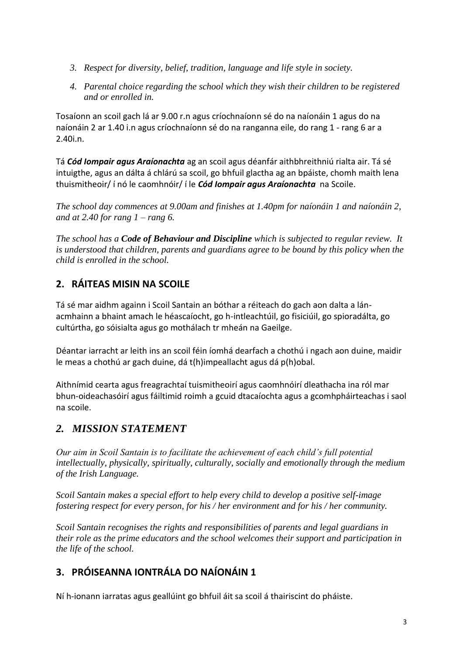- *3. Respect for diversity, belief, tradition, language and life style in society.*
- *4. Parental choice regarding the school which they wish their children to be registered and or enrolled in.*

Tosaíonn an scoil gach lá ar 9.00 r.n agus críochnaíonn sé do na naíonáin 1 agus do na naíonáin 2 ar 1.40 i.n agus críochnaíonn sé do na ranganna eile, do rang 1 - rang 6 ar a 2.40i.n.

Tá *Cód Iompair agus Araíonachta* ag an scoil agus déanfár aithbhreithniú rialta air. Tá sé intuigthe, agus an dálta á chlárú sa scoil, go bhfuil glactha ag an bpáiste, chomh maith lena thuismitheoir/ í nó le caomhnóir/ í le *Cód Iompair agus Araíonachta* na Scoile.

*The school day commences at 9.00am and finishes at 1.40pm for naíonáin 1 and naíonáin 2, and at 2.40 for rang 1 – rang 6.*

*The school has a Code of Behaviour and Discipline which is subjected to regular review. It is understood that children, parents and guardians agree to be bound by this policy when the child is enrolled in the school.*

# **2. RÁITEAS MISIN NA SCOILE**

Tá sé mar aidhm againn i Scoil Santain an bóthar a réiteach do gach aon dalta a lánacmhainn a bhaint amach le héascaíocht, go h-intleachtúil, go fisiciúil, go spioradálta, go cultúrtha, go sóisialta agus go mothálach tr mheán na Gaeilge.

Déantar iarracht ar leith ins an scoil féin íomhá dearfach a chothú i ngach aon duine, maidir le meas a chothú ar gach duine, dá t(h)impeallacht agus dá p(h)obal.

Aithnímid cearta agus freagrachtaí tuismitheoirí agus caomhnóirí dleathacha ina ról mar bhun-oideachasóirí agus fáiltimid roimh a gcuid dtacaíochta agus a gcomhpháirteachas i saol na scoile.

# *2. MISSION STATEMENT*

*Our aim in Scoil Santain is to facilitate the achievement of each child's full potential intellectually, physically, spiritually, culturally, socially and emotionally through the medium of the Irish Language.*

*Scoil Santain makes a special effort to help every child to develop a positive self-image fostering respect for every person, for his / her environment and for his / her community.*

*Scoil Santain recognises the rights and responsibilities of parents and legal guardians in their role as the prime educators and the school welcomes their support and participation in the life of the school.*

# **3. PRÓISEANNA IONTRÁLA DO NAÍONÁIN 1**

Ní h-ionann iarratas agus geallúint go bhfuil áit sa scoil á thairiscint do pháiste.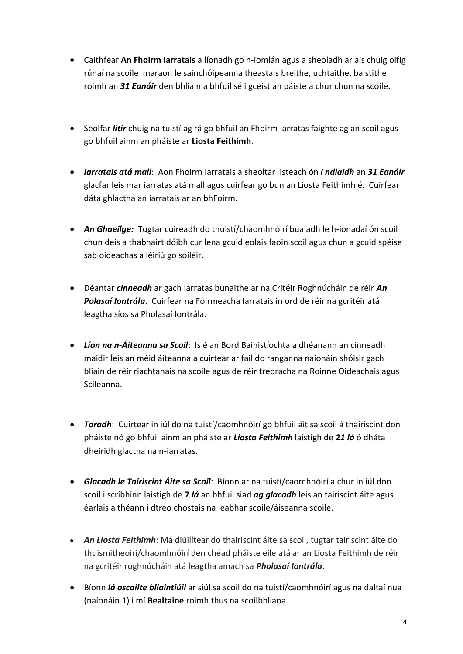- Caithfear **An Fhoirm Iarratais** a líonadh go h-iomlán agus a sheoladh ar ais chuig oifig rúnaí na scoile maraon le sainchóipeanna theastais breithe, uchtaithe, baistithe roimh an *31 Eanáir* den bhliain a bhfuil sé i gceist an páiste a chur chun na scoile.
- Seolfar *litir* chuig na tuistí ag rá go bhfuil an Fhoirm Iarratas faighte ag an scoil agus go bhfuil ainm an pháiste ar **Liosta Feithimh**.
- *Iarratais atá mall*: Aon Fhoirm Iarratais a sheoltar isteach ón *i ndiaidh* an *31 Eanáir* glacfar leis mar iarratas atá mall agus cuirfear go bun an Liosta Feithimh é. Cuirfear dáta ghlactha an iarratais ar an bhFoirm.
- *An Ghaeilge:* Tugtar cuireadh do thuistí/chaomhnóirí bualadh le h-ionadaí ón scoil chun deis a thabhairt dóibh cur lena gcuid eolais faoin scoil agus chun a gcuid spéise sab oideachas a léiriú go soiléir.
- Déantar *cinneadh* ar gach iarratas bunaithe ar na Critéir Roghnúcháin de réir *An Polasaí Iontrála*. Cuirfear na Foirmeacha Iarratais in ord de réir na gcritéir atá leagtha síos sa Pholasaí Iontrála.
- *Líon na n-Áiteanna sa Scoil*: Is é an Bord Bainistíochta a dhéanann an cinneadh maidir leis an méid áiteanna a cuirtear ar fail do ranganna naíonáin shóisir gach bliain de réir riachtanais na scoile agus de réir treoracha na Roinne Oideachais agus Scileanna.
- *Toradh*: Cuirtear in iúl do na tuistí/caomhnóirí go bhfuil áit sa scoil á thairiscint don pháiste nó go bhfuil ainm an pháiste ar *Liosta Feithimh* laistigh de *21 lá* ó dháta dheiridh glactha na n-iarratas.
- *Glacadh le Tairiscint Áite sa Scoil*: Bíonn ar na tuistí/caomhnóirí a chur in iúl don scoil i scríbhinn laistigh de **7** *lá* an bhfuil siad *ag glacadh* leis an tairiscint áite agus éarlais a théann i dtreo chostais na leabhar scoile/áiseanna scoile.
- *An Liosta Feithimh*: Má diúilítear do thairiscint áite sa scoil, tugtar tairiscint áite do thuismitheoirí/chaomhnóirí den chéad pháiste eile atá ar an Liosta Feithimh de réir na gcritéir roghnúcháin atá leagtha amach sa *Pholasaí Iontrála*.
- Bíonn *lá oscailte bliaintiúil* ar siúl sa scoil do na tuistí/caomhnóirí agus na daltaí nua (naíonáin 1) i mí **Bealtaine** roimh thus na scoilbhliana.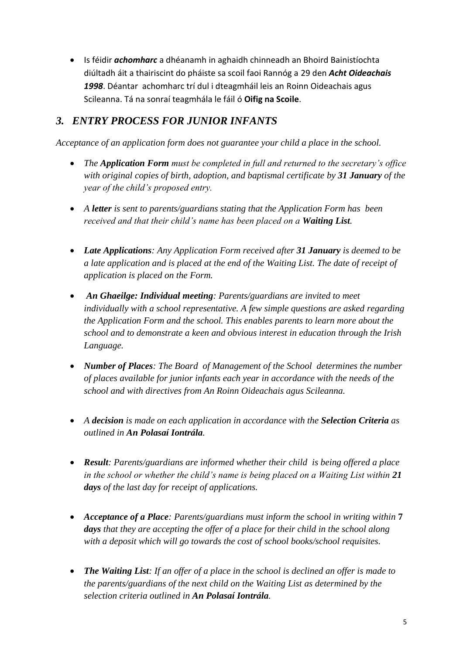Is féidir *achomharc* a dhéanamh in aghaidh chinneadh an Bhoird Bainistíochta diúltadh áit a thairiscint do pháiste sa scoil faoi Rannóg a 29 den *Acht Oideachais 1998*. Déantar achomharc trí dul i dteagmháil leis an Roinn Oideachais agus Scileanna. Tá na sonraí teagmhála le fáil ó **Oifig na Scoile**.

## *3. ENTRY PROCESS FOR JUNIOR INFANTS*

*Acceptance of an application form does not guarantee your child a place in the school.*

- *The Application Form must be completed in full and returned to the secretary's office with original copies of birth, adoption, and baptismal certificate by 31 January of the year of the child's proposed entry.*
- *A letter is sent to parents/guardians stating that the Application Form has been received and that their child's name has been placed on a Waiting List.*
- *Late Applications: Any Application Form received after 31 January is deemed to be a late application and is placed at the end of the Waiting List. The date of receipt of application is placed on the Form.*
- *An Ghaeilge: Individual meeting: Parents/guardians are invited to meet individually with a school representative. A few simple questions are asked regarding the Application Form and the school. This enables parents to learn more about the school and to demonstrate a keen and obvious interest in education through the Irish Language.*
- *Number of Places: The Board of Management of the School determines the number of places available for junior infants each year in accordance with the needs of the school and with directives from An Roinn Oideachais agus Scileanna.*
- *A decision is made on each application in accordance with the Selection Criteria as outlined in An Polasaí Iontrála.*
- *Result: Parents/guardians are informed whether their child is being offered a place in the school or whether the child's name is being placed on a Waiting List within 21 days of the last day for receipt of applications.*
- *Acceptance of a Place: Parents/guardians must inform the school in writing within* **7** *days that they are accepting the offer of a place for their child in the school along with a deposit which will go towards the cost of school books/school requisites.*
- *The Waiting List: If an offer of a place in the school is declined an offer is made to the parents/guardians of the next child on the Waiting List as determined by the selection criteria outlined in An Polasaí Iontrála.*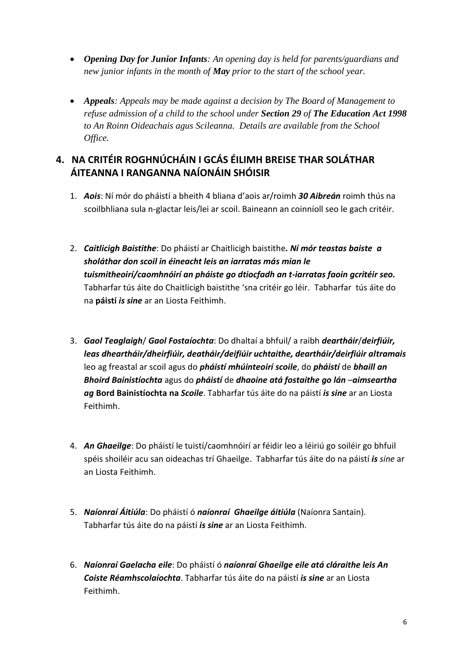- *Opening Day for Junior Infants: An opening day is held for parents/guardians and new junior infants in the month of May prior to the start of the school year.*
- *Appeals: Appeals may be made against a decision by The Board of Management to refuse admission of a child to the school under Section 29 of The Education Act 1998 to An Roinn Oideachais agus Scileanna. Details are available from the School Office.*

### **4. NA CRITÉIR ROGHNÚCHÁIN I GCÁS ÉILIMH BREISE THAR SOLÁTHAR ÁITEANNA I RANGANNA NAÍONÁIN SHÓISIR**

- 1. *Aois*: Ní mór do pháistí a bheith 4 bliana d'aois ar/roimh *30 Aibreán* roimh thús na scoilbhliana sula n-glactar leis/lei ar scoil. Baineann an coinníoll seo le gach critéir.
- 2. *Caitlicigh Baistithe*: Do pháistí ar Chaitlicigh baistithe*. Ní mór teastas baiste a sholáthar don scoil in éineacht leis an iarratas más mian le tuismitheoirí/caomhnóirí an pháiste go dtiocfadh an t-iarratas faoin gcritéir seo.*  Tabharfar tús áite do Chaitlicigh baistithe 'sna critéir go léir. Tabharfar tús áite do na **páistí** *is sine* ar an Liosta Feithimh.
- 3. *Gaol Teaglaigh*/ *Gaol Fostaíochta*: Do dhaltaí a bhfuil/ a raibh *deartháir*/*deirfiúir, leas dheartháir/dheirfiúir, deatháir/deifiúir uchtaithe, deartháir/deirfiúir altramais* leo ag freastal ar scoil agus do *pháistí mhúinteoirí scoile*, do *pháistí* de *bhaill an Bhoird Bainistíochta* agus do *pháistí* de *dhaoine atá fostaithe go lán* –*aimseartha ag* **Bord Bainistíochta na** *Scoile*. Tabharfar tús áite do na páistí *is sine* ar an Liosta Feithimh.
- 4. *An Ghaeilge*: Do pháistí le tuistí/caomhnóirí ar féidir leo a léiriú go soiléir go bhfuil spéis shoiléir acu san oideachas trí Ghaeilge. Tabharfar tús áite do na páistí *is sine* ar an Liosta Feithimh.
- 5. *Naíonraí Áitiúla*: Do pháistí ó *naíonraí Ghaeilge áitiúla* (Naíonra Santain). Tabharfar tús áite do na páistí *is sine* ar an Liosta Feithimh.
- 6. *Naíonraí Gaelacha eile*: Do pháistí ó *naíonraí Ghaeilge eile atá cláraithe leis An Coiste Réamhscolaíochta*. Tabharfar tús áite do na páistí *is sine* ar an Liosta Feithimh.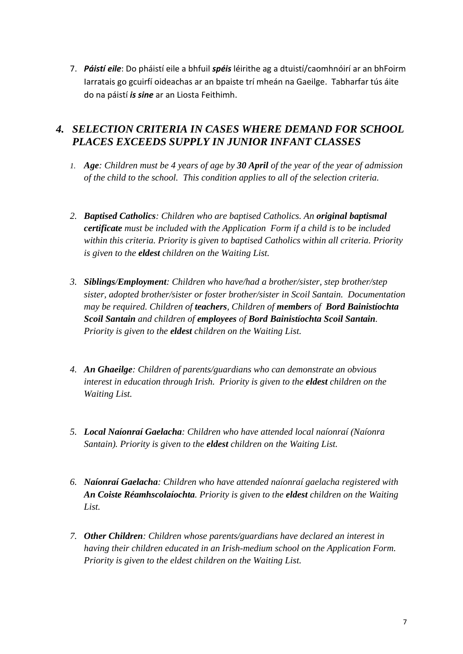7. *Páistí eile*: Do pháistí eile a bhfuil *spéis* léirithe ag a dtuistí/caomhnóirí ar an bhFoirm Iarratais go gcuirfí oideachas ar an bpaiste trí mheán na Gaeilge. Tabharfar tús áite do na páistí *is sine* ar an Liosta Feithimh.

#### *4. SELECTION CRITERIA IN CASES WHERE DEMAND FOR SCHOOL PLACES EXCEEDS SUPPLY IN JUNIOR INFANT CLASSES*

- *1. Age: Children must be 4 years of age by 30 April of the year of the year of admission of the child to the school. This condition applies to all of the selection criteria.*
- *2. Baptised Catholics: Children who are baptised Catholics. An original baptismal certificate must be included with the Application Form if a child is to be included within this criteria. Priority is given to baptised Catholics within all criteria. Priority is given to the eldest children on the Waiting List.*
- *3. Siblings/Employment: Children who have/had a brother/sister, step brother/step sister, adopted brother/sister or foster brother/sister in Scoil Santain. Documentation may be required. Children of teachers, Children of members of Bord Bainistíochta Scoil Santain and children of employees of Bord Bainistíochta Scoil Santain. Priority is given to the eldest children on the Waiting List.*
- *4. An Ghaeilge: Children of parents/guardians who can demonstrate an obvious interest in education through Irish. Priority is given to the eldest children on the Waiting List.*
- *5. Local Naíonraí Gaelacha: Children who have attended local naíonraí (Naíonra Santain). Priority is given to the eldest children on the Waiting List.*
- *6. Naíonraí Gaelacha: Children who have attended naíonraí gaelacha registered with An Coiste Réamhscolaíochta. Priority is given to the eldest children on the Waiting List.*
- *7. Other Children: Children whose parents/guardians have declared an interest in having their children educated in an Irish-medium school on the Application Form. Priority is given to the eldest children on the Waiting List.*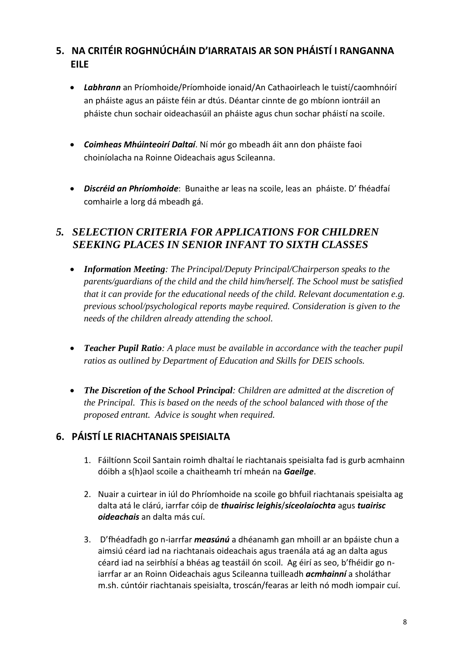### **5. NA CRITÉIR ROGHNÚCHÁIN D'IARRATAIS AR SON PHÁISTÍ I RANGANNA EILE**

- *Labhrann* an Príomhoide/Príomhoide ionaid/An Cathaoirleach le tuistí/caomhnóirí an pháiste agus an páiste féin ar dtús. Déantar cinnte de go mbíonn iontráil an pháiste chun sochair oideachasúil an pháiste agus chun sochar pháistí na scoile.
- *Coimheas Mhúinteoirí Daltaí*. Ní mór go mbeadh áit ann don pháiste faoi choiníolacha na Roinne Oideachais agus Scileanna.
- *Discréid an Phríomhoide*: Bunaithe ar leas na scoile, leas an pháiste. D' fhéadfaí comhairle a lorg dá mbeadh gá.

#### *5. SELECTION CRITERIA FOR APPLICATIONS FOR CHILDREN SEEKING PLACES IN SENIOR INFANT TO SIXTH CLASSES*

- *Information Meeting: The Principal/Deputy Principal/Chairperson speaks to the parents/guardians of the child and the child him/herself. The School must be satisfied that it can provide for the educational needs of the child. Relevant documentation e.g. previous school/psychological reports maybe required. Consideration is given to the needs of the children already attending the school.*
- *Teacher Pupil Ratio: A place must be available in accordance with the teacher pupil ratios as outlined by Department of Education and Skills for DEIS schools.*
- *The Discretion of the School Principal: Children are admitted at the discretion of the Principal. This is based on the needs of the school balanced with those of the proposed entrant. Advice is sought when required.*

### **6. PÁISTÍ LE RIACHTANAIS SPEISIALTA**

- 1. Fáiltíonn Scoil Santain roimh dhaltaí le riachtanais speisialta fad is gurb acmhainn dóibh a s(h)aol scoile a chaitheamh trí mheán na *Gaeilge*.
- 2. Nuair a cuirtear in iúl do Phríomhoide na scoile go bhfuil riachtanais speisialta ag dalta atá le clárú, iarrfar cóip de *thuairisc leighis*/*síceolaíochta* agus *tuairisc oideachais* an dalta más cuí.
- 3. D'fhéadfadh go n-iarrfar *measúnú* a dhéanamh gan mhoill ar an bpáiste chun a aimsiú céard iad na riachtanais oideachais agus traenála atá ag an dalta agus céard iad na seirbhísí a bhéas ag teastáil ón scoil. Ag éirí as seo, b'fhéidir go niarrfar ar an Roinn Oideachais agus Scileanna tuilleadh *acmhainní* a sholáthar m.sh. cúntóir riachtanais speisialta, troscán/fearas ar leith nó modh iompair cuí.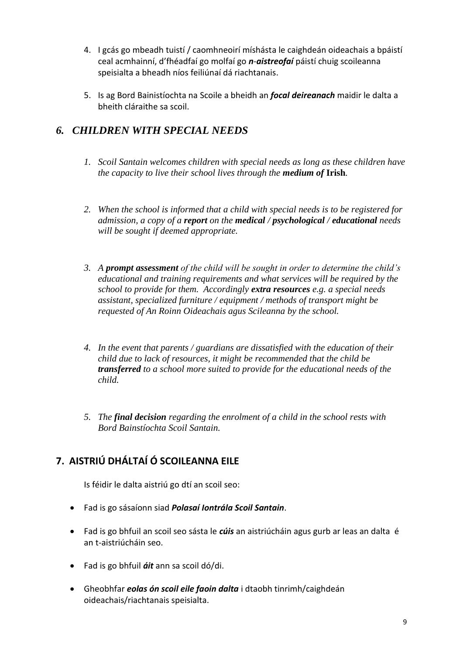- 4. I gcás go mbeadh tuistí / caomhneoirí míshásta le caighdeán oideachais a bpáistí ceal acmhainní, d'fhéadfaí go molfaí go *n*-*aistreofaí* páistí chuig scoileanna speisialta a bheadh níos feiliúnaí dá riachtanais.
- 5. Is ag Bord Bainistíochta na Scoile a bheidh an *focal deireanach* maidir le dalta a bheith cláraithe sa scoil.

### *6. CHILDREN WITH SPECIAL NEEDS*

- *1. Scoil Santain welcomes children with special needs as long as these children have the capacity to live their school lives through the medium of* **Irish***.*
- *2. When the school is informed that a child with special needs is to be registered for admission, a copy of a report on the medical / psychological / educational needs will be sought if deemed appropriate.*
- *3. A prompt assessment of the child will be sought in order to determine the child's educational and training requirements and what services will be required by the school to provide for them. Accordingly extra resources e.g. a special needs assistant, specialized furniture / equipment / methods of transport might be requested of An Roinn Oideachais agus Scileanna by the school.*
- *4. In the event that parents / guardians are dissatisfied with the education of their child due to lack of resources, it might be recommended that the child be transferred to a school more suited to provide for the educational needs of the child.*
- *5. The final decision regarding the enrolment of a child in the school rests with Bord Bainstíochta Scoil Santain.*

# **7. AISTRIÚ DHÁLTAÍ Ó SCOILEANNA EILE**

Is féidir le dalta aistriú go dtí an scoil seo:

- Fad is go sásaíonn siad *Polasaí Iontrála Scoil Santain*.
- Fad is go bhfuil an scoil seo sásta le *cúis* an aistriúcháin agus gurb ar leas an dalta é an t-aistriúcháin seo.
- Fad is go bhfuil *áit* ann sa scoil dó/di.
- Gheobhfar *eolas ón scoil eile faoin dalta* i dtaobh tinrimh/caighdeán oideachais/riachtanais speisialta.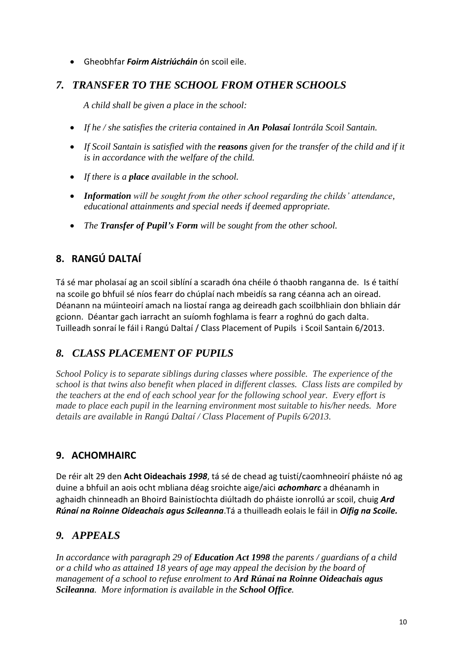Gheobhfar *Foirm Aistriúcháin* ón scoil eile.

#### *7. TRANSFER TO THE SCHOOL FROM OTHER SCHOOLS*

*A child shall be given a place in the school:*

- *If he / she satisfies the criteria contained in An Polasaí Iontrála Scoil Santain.*
- *If Scoil Santain is satisfied with the reasons given for the transfer of the child and if it is in accordance with the welfare of the child.*
- *If there is a place available in the school.*
- *Information will be sought from the other school regarding the childs' attendance, educational attainments and special needs if deemed appropriate.*
- *The Transfer of Pupil's Form will be sought from the other school.*

# **8. RANGÚ DALTAÍ**

Tá sé mar pholasaí ag an scoil siblíní a scaradh óna chéile ó thaobh ranganna de. Is é taithí na scoile go bhfuil sé níos fearr do chúplaí nach mbeidís sa rang céanna ach an oiread. Déanann na múinteoirí amach na liostaí ranga ag deireadh gach scoilbhliain don bhliain dár gcionn. Déantar gach iarracht an suíomh foghlama is fearr a roghnú do gach dalta. Tuilleadh sonraí le fáil i Rangú Daltaí / Class Placement of Pupils i Scoil Santain 6/2013.

### *8. CLASS PLACEMENT OF PUPILS*

*School Policy is to separate siblings during classes where possible. The experience of the school is that twins also benefit when placed in different classes. Class lists are compiled by the teachers at the end of each school year for the following school year. Every effort is made to place each pupil in the learning environment most suitable to his/her needs. More details are available in Rangú Daltaí / Class Placement of Pupils 6/2013.*

### **9. ACHOMHAIRC**

De réir alt 29 den **Acht Oideachais** *1998*, tá sé de chead ag tuistí/caomhneoirí pháiste nó ag duine a bhfuil an aois ocht mbliana déag sroichte aige/aici *achomharc* a dhéanamh in aghaidh chinneadh an Bhoird Bainistíochta diúltadh do pháiste ionrollú ar scoil, chuig *Ard Rúnaí na Roinne Oideachais agus Scileanna*.Tá a thuilleadh eolais le fáil in *Oifig na Scoile.*

### *9. APPEALS*

*In accordance with paragraph 29 of Education Act 1998 the parents / guardians of a child or a child who as attained 18 years of age may appeal the decision by the board of management of a school to refuse enrolment to Ard Rúnaí na Roinne Oideachais agus Scileanna. More information is available in the School Office.*